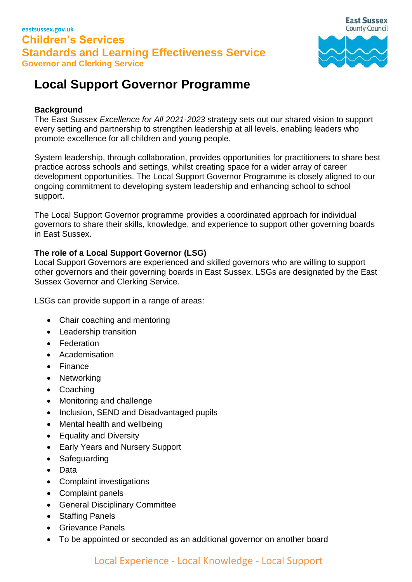

# **Local Support Governor Programme**

# **Background**

The East Sussex *Excellence for All 2021-2023* strategy sets out our shared vision to support every setting and partnership to strengthen leadership at all levels, enabling leaders who promote excellence for all children and young people.

System leadership, through collaboration, provides opportunities for practitioners to share best practice across schools and settings, whilst creating space for a wider array of career development opportunities. The Local Support Governor Programme is closely aligned to our ongoing commitment to developing system leadership and enhancing school to school support.

The Local Support Governor programme provides a coordinated approach for individual governors to share their skills, knowledge, and experience to support other governing boards in East Sussex.

### **The role of a Local Support Governor (LSG)**

Local Support Governors are experienced and skilled governors who are willing to support other governors and their governing boards in East Sussex. LSGs are designated by the East Sussex Governor and Clerking Service.

LSGs can provide support in a range of areas:

- Chair coaching and mentoring
- Leadership transition
- Federation
- Academisation
- Finance
- Networking
- Coaching
- Monitoring and challenge
- Inclusion, SEND and Disadvantaged pupils
- Mental health and wellbeing
- Equality and Diversity
- Early Years and Nursery Support
- Safeguarding
- Data
- Complaint investigations
- Complaint panels
- General Disciplinary Committee
- Staffing Panels
- Grievance Panels
- To be appointed or seconded as an additional governor on another board

# Local Experience - Local Knowledge - Local Support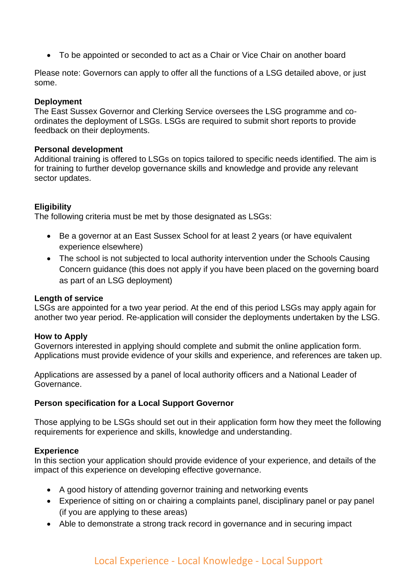• To be appointed or seconded to act as a Chair or Vice Chair on another board

Please note: Governors can apply to offer all the functions of a LSG detailed above, or just some.

#### **Deployment**

The East Sussex Governor and Clerking Service oversees the LSG programme and coordinates the deployment of LSGs. LSGs are required to submit short reports to provide feedback on their deployments.

#### **Personal development**

Additional training is offered to LSGs on topics tailored to specific needs identified. The aim is for training to further develop governance skills and knowledge and provide any relevant sector updates.

#### **Eligibility**

The following criteria must be met by those designated as LSGs:

- Be a governor at an East Sussex School for at least 2 years (or have equivalent experience elsewhere)
- The school is not subjected to local authority intervention under the Schools Causing Concern guidance (this does not apply if you have been placed on the governing board as part of an LSG deployment)

#### **Length of service**

LSGs are appointed for a two year period. At the end of this period LSGs may apply again for another two year period. Re-application will consider the deployments undertaken by the LSG.

#### **How to Apply**

Governors interested in applying should complete and submit the online application form. Applications must provide evidence of your skills and experience, and references are taken up.

Applications are assessed by a panel of local authority officers and a National Leader of Governance.

#### **Person specification for a Local Support Governor**

Those applying to be LSGs should set out in their application form how they meet the following requirements for experience and skills, knowledge and understanding.

#### **Experience**

In this section your application should provide evidence of your experience, and details of the impact of this experience on developing effective governance.

- A good history of attending governor training and networking events
- Experience of sitting on or chairing a complaints panel, disciplinary panel or pay panel (if you are applying to these areas)
- Able to demonstrate a strong track record in governance and in securing impact